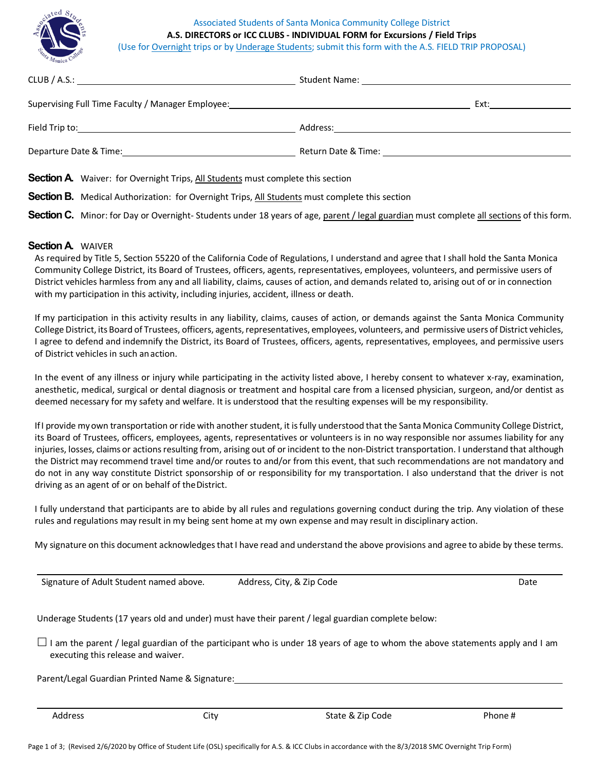## Associated Students of Santa Monica Community College District **A.S. DIRECTORS or ICC CLUBS - INDIVIDUAL FORM for Excursions / Field Trips**



(Use for Overnight trips or by Underage Students; submit this form with the A.S. FIELD TRIP PROPOSAL)

| Supervising Full Time Faculty / Manager Employee: _______________________________                     | Ext: the contract of the contract of the contract of the contract of the contract of the contract of the contract of the contract of the contract of the contract of the contract of the contract of the contract of the contr |
|-------------------------------------------------------------------------------------------------------|--------------------------------------------------------------------------------------------------------------------------------------------------------------------------------------------------------------------------------|
|                                                                                                       |                                                                                                                                                                                                                                |
| Departure Date & Time: Departure Date & Time:                                                         |                                                                                                                                                                                                                                |
| <b>Section A</b> Waiver: for Overnight Trips, All Students must complete this section                 |                                                                                                                                                                                                                                |
| <b>Section B.</b> Medical Authorization: for Overnight Trips, All Students must complete this section |                                                                                                                                                                                                                                |

**Section C.** Minor: for Day or Overnight-Students under 18 years of age, parent / legal guardian must complete all sections of this form.

## **Section A.** WAIVER

As required by Title 5, Section 55220 of the California Code of Regulations, I understand and agree that I shall hold the Santa Monica Community College District, its Board of Trustees, officers, agents, representatives, employees, volunteers, and permissive users of District vehicles harmless from any and all liability, claims, causes of action, and demands related to, arising out of or in connection with my participation in this activity, including injuries, accident, illness or death.

If my participation in this activity results in any liability, claims, causes of action, or demands against the Santa Monica Community College District, its Board of Trustees, officers, agents, representatives, employees, volunteers, and permissive users of District vehicles, I agree to defend and indemnify the District, its Board of Trustees, officers, agents, representatives, employees, and permissive users of District vehicles in such anaction.

In the event of any illness or injury while participating in the activity listed above, I hereby consent to whatever x-ray, examination, anesthetic, medical, surgical or dental diagnosis or treatment and hospital care from a licensed physician, surgeon, and/or dentist as deemed necessary for my safety and welfare. It is understood that the resulting expenses will be my responsibility.

If I provide my own transportation or ride with another student, it is fully understood that the Santa Monica Community College District, its Board of Trustees, officers, employees, agents, representatives or volunteers is in no way responsible nor assumes liability for any injuries, losses, claims or actions resulting from, arising out of or incident to the non-District transportation. I understand that although the District may recommend travel time and/or routes to and/or from this event, that such recommendations are not mandatory and do not in any way constitute District sponsorship of or responsibility for my transportation. I also understand that the driver is not driving as an agent of or on behalf of theDistrict.

I fully understand that participants are to abide by all rules and regulations governing conduct during the trip. Any violation of these rules and regulations may result in my being sent home at my own expense and may result in disciplinary action.

My signature on this document acknowledges that I have read and understand the above provisions and agree to abide by these terms.

Signature of Adult Student named above. Address, City, & Zip Code Date Date Date Date

Underage Students (17 years old and under) must have their parent / legal guardian complete below:

 $\Box$  I am the parent / legal guardian of the participant who is under 18 years of age to whom the above statements apply and I am executing this release and waiver.

Parent/Legal Guardian Printed Name & Signature:

Address and Scity City City State & Zip Code Phone #